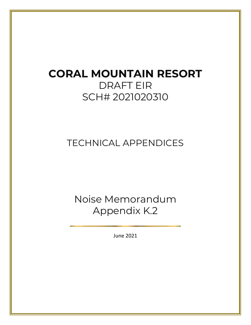## **CORAL MOUNTAIN RESORT**  DRAFT EIR SCH# 2021020310

## TECHNICAL APPENDICES

Noise Memorandum Appendix K.2

June 2021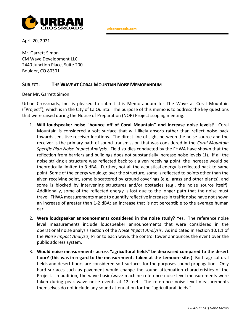

urbanxroads.com

April 20, 2021

Mr. Garrett Simon CM Wave Development LLC 2440 Junction Place, Suite 200 Boulder, CO 80301

## **SUBJECT: THE WAVE AT CORAL MOUNTAIN NOISE MEMORANDUM**

Dear Mr. Garrett Simon:

Urban Crossroads, Inc. is pleased to submit this Memorandum for The Wave at Coral Mountain ("Project"), which is in the City of La Quinta. The purpose of this memo is to address the key questions that were raised during the Notice of Preparation (NOP) Project scoping meeting.

- 1. **Will loudspeaker noise "bounce off of Coral Mountain" and increase noise levels?** Coral Mountain is considered a soft surface that will likely absorb rather than reflect noise back towards sensitive receiver locations. The direct line of sight between the noise source and the receiver is the primary path of sound transmission that was considered in the *Coral Mountain Specific Plan Noise Impact Analysis*. Field studies conducted by the FHWA have shown that the reflection from barriers and buildings does not substantially increase noise levels (1). If all the noise striking a structure was reflected back to a given receiving point, the increase would be theoretically limited to 3 dBA. Further, not all the acoustical energy is reflected back to same point. Some of the energy would go over the structure, some is reflected to points other than the given receiving point, some is scattered by ground coverings (e.g., grass and other plants), and some is blocked by intervening structures and/or obstacles (e.g., the noise source itself). Additionally, some of the reflected energy is lost due to the longer path that the noise must travel. FHWA measurements made to quantify reflective increases in traffic noise have not shown an increase of greater than 1-2 dBA; an increase that is not perceptible to the average human ear.
- 2. **Were loudspeaker announcements considered in the noise study?** Yes. The reference noise level measurements include loudspeaker announcements that were considered in the operational noise analysis section of the *Noise Impact Analysis*. As indicated in section 10.1.1 of the *Noise Impact Analysis,* Prior to each wave, the control tower announces the event over the public address system.
- 3. **Would noise measurements across "agricultural fields" be decreased compared to the desert floor? (this was in regard to the measurements taken at the Lemoore site.)** Both agricultural fields and desert floors are considered soft surfaces for the purposes sound propagation. Only hard surfaces such as pavement would change the sound attenuation characteristics of the Project. In addition, the wave basin/wave machine reference noise level measurements were taken during peak wave noise events at 12 feet. The reference noise level measurements themselves do not include any sound attenuation for the "agricultural fields."